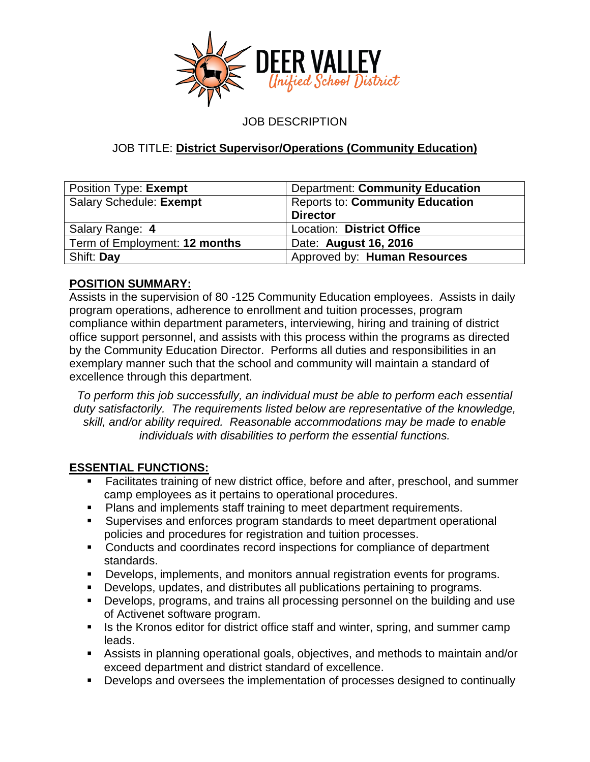

JOB DESCRIPTION

# JOB TITLE: **District Supervisor/Operations (Community Education)**

| Position Type: Exempt         | <b>Department: Community Education</b> |
|-------------------------------|----------------------------------------|
| Salary Schedule: Exempt       | <b>Reports to: Community Education</b> |
|                               | <b>Director</b>                        |
| Salary Range: 4               | Location: District Office              |
| Term of Employment: 12 months | Date: August 16, 2016                  |
| Shift: Day                    | Approved by: Human Resources           |

# **POSITION SUMMARY:**

Assists in the supervision of 80 -125 Community Education employees. Assists in daily program operations, adherence to enrollment and tuition processes, program compliance within department parameters, interviewing, hiring and training of district office support personnel, and assists with this process within the programs as directed by the Community Education Director. Performs all duties and responsibilities in an exemplary manner such that the school and community will maintain a standard of excellence through this department.

*To perform this job successfully, an individual must be able to perform each essential duty satisfactorily. The requirements listed below are representative of the knowledge, skill, and/or ability required. Reasonable accommodations may be made to enable individuals with disabilities to perform the essential functions.*

# **ESSENTIAL FUNCTIONS:**

- Facilitates training of new district office, before and after, preschool, and summer camp employees as it pertains to operational procedures.
- **Plans and implements staff training to meet department requirements.**
- Supervises and enforces program standards to meet department operational policies and procedures for registration and tuition processes.
- **Conducts and coordinates record inspections for compliance of department** standards.
- Develops, implements, and monitors annual registration events for programs.
- Develops, updates, and distributes all publications pertaining to programs.
- Develops, programs, and trains all processing personnel on the building and use of Activenet software program.
- Is the Kronos editor for district office staff and winter, spring, and summer camp leads.
- Assists in planning operational goals, objectives, and methods to maintain and/or exceed department and district standard of excellence.
- Develops and oversees the implementation of processes designed to continually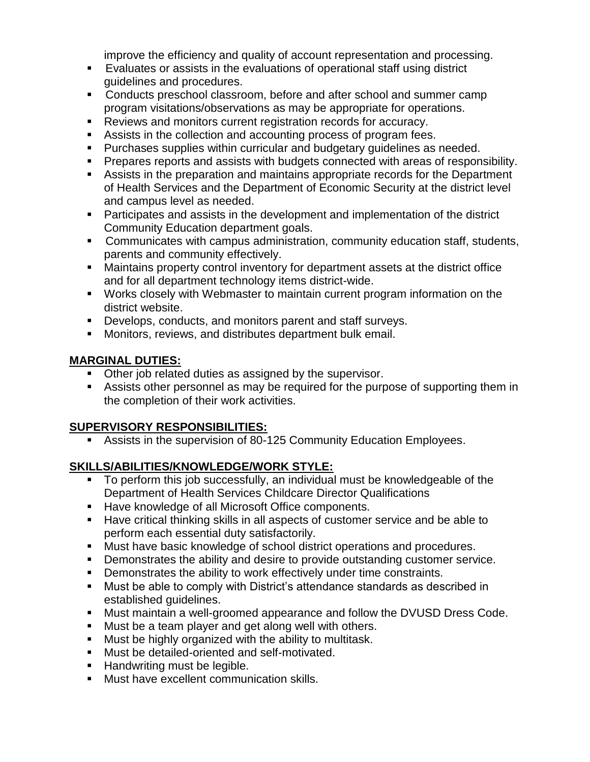improve the efficiency and quality of account representation and processing.

- Evaluates or assists in the evaluations of operational staff using district guidelines and procedures.
- **Conducts preschool classroom, before and after school and summer camp** program visitations/observations as may be appropriate for operations.
- Reviews and monitors current registration records for accuracy.
- Assists in the collection and accounting process of program fees.
- **Purchases supplies within curricular and budgetary guidelines as needed.**
- Prepares reports and assists with budgets connected with areas of responsibility.
- Assists in the preparation and maintains appropriate records for the Department of Health Services and the Department of Economic Security at the district level and campus level as needed.
- Participates and assists in the development and implementation of the district Community Education department goals.
- Communicates with campus administration, community education staff, students, parents and community effectively.
- Maintains property control inventory for department assets at the district office and for all department technology items district-wide.
- Works closely with Webmaster to maintain current program information on the district website.
- Develops, conducts, and monitors parent and staff surveys.
- **Monitors, reviews, and distributes department bulk email.**

# **MARGINAL DUTIES:**

- **Other job related duties as assigned by the supervisor.**
- Assists other personnel as may be required for the purpose of supporting them in the completion of their work activities.

# **SUPERVISORY RESPONSIBILITIES:**

Assists in the supervision of 80-125 Community Education Employees.

# **SKILLS/ABILITIES/KNOWLEDGE/WORK STYLE:**

- To perform this job successfully, an individual must be knowledgeable of the Department of Health Services Childcare Director Qualifications
- **Have knowledge of all Microsoft Office components.**
- Have critical thinking skills in all aspects of customer service and be able to perform each essential duty satisfactorily.
- Must have basic knowledge of school district operations and procedures.
- Demonstrates the ability and desire to provide outstanding customer service.
- **•** Demonstrates the ability to work effectively under time constraints.
- Must be able to comply with District's attendance standards as described in established guidelines.
- Must maintain a well-groomed appearance and follow the DVUSD Dress Code.
- **Must be a team player and get along well with others.**
- **Must be highly organized with the ability to multitask.**
- **Must be detailed-oriented and self-motivated.**
- **Handwriting must be legible.**
- **Must have excellent communication skills.**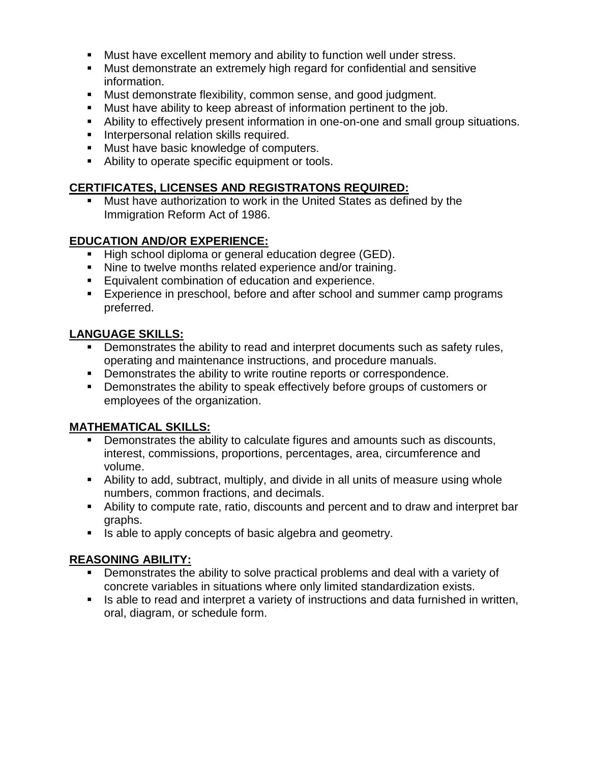- Must have excellent memory and ability to function well under stress.
- Must demonstrate an extremely high regard for confidential and sensitive information.
- Must demonstrate flexibility, common sense, and good judgment.
- Must have ability to keep abreast of information pertinent to the job.
- Ability to effectively present information in one-on-one and small group situations.
- **Interpersonal relation skills required.**
- **Must have basic knowledge of computers.**
- Ability to operate specific equipment or tools.

#### **CERTIFICATES, LICENSES AND REGISTRATONS REQUIRED:**

 Must have authorization to work in the United States as defined by the Immigration Reform Act of 1986.

### **EDUCATION AND/OR EXPERIENCE:**

- High school diploma or general education degree (GED).
- Nine to twelve months related experience and/or training.
- **Equivalent combination of education and experience.**
- Experience in preschool, before and after school and summer camp programs preferred.

### **LANGUAGE SKILLS:**

- Demonstrates the ability to read and interpret documents such as safety rules, operating and maintenance instructions, and procedure manuals.
- **Demonstrates the ability to write routine reports or correspondence.**
- **Demonstrates the ability to speak effectively before groups of customers or** employees of the organization.

#### **MATHEMATICAL SKILLS:**

- Demonstrates the ability to calculate figures and amounts such as discounts, interest, commissions, proportions, percentages, area, circumference and volume.
- Ability to add, subtract, multiply, and divide in all units of measure using whole numbers, common fractions, and decimals.
- Ability to compute rate, ratio, discounts and percent and to draw and interpret bar graphs.
- Is able to apply concepts of basic algebra and geometry.

# **REASONING ABILITY:**

- Demonstrates the ability to solve practical problems and deal with a variety of concrete variables in situations where only limited standardization exists.
- If a able to read and interpret a variety of instructions and data furnished in written, oral, diagram, or schedule form.